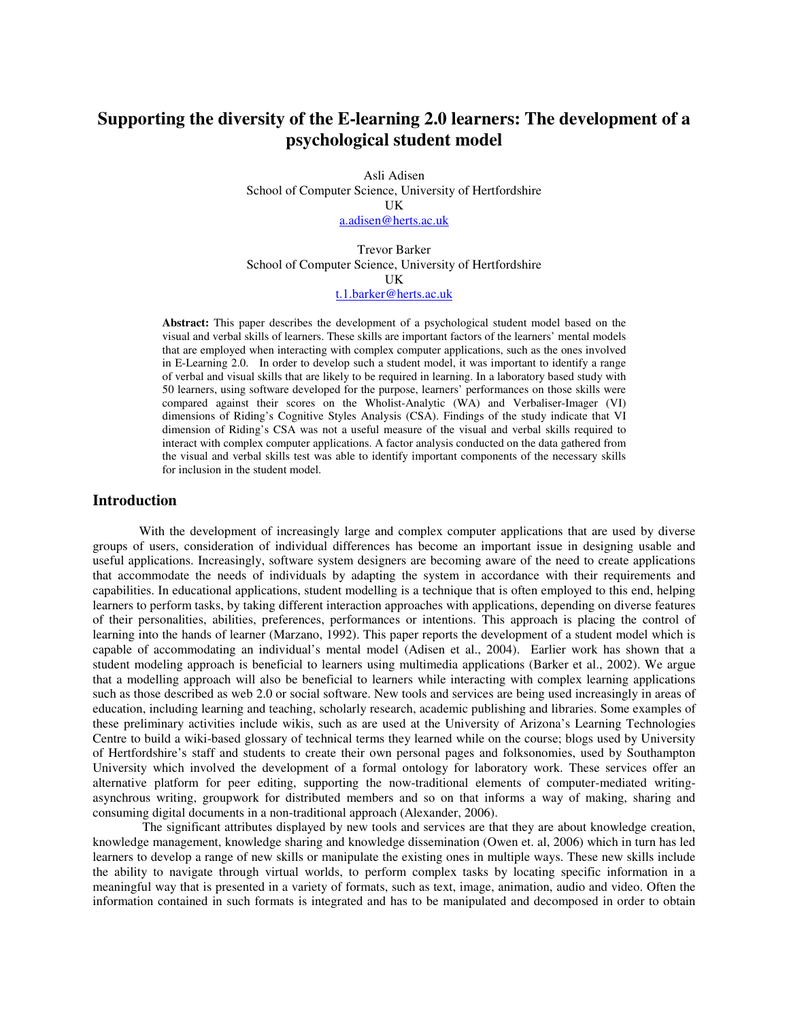# **Supporting the diversity of the E-learning 2.0 learners: The development of a psychological student model**

Asli Adisen School of Computer Science, University of Hertfordshire UK a.adisen@herts.ac.uk

Trevor Barker School of Computer Science, University of Hertfordshire UK t.1.barker@herts.ac.uk

**Abstract:** This paper describes the development of a psychological student model based on the visual and verbal skills of learners. These skills are important factors of the learners' mental models that are employed when interacting with complex computer applications, such as the ones involved in E-Learning 2.0. In order to develop such a student model, it was important to identify a range of verbal and visual skills that are likely to be required in learning. In a laboratory based study with 50 learners, using software developed for the purpose, learners' performances on those skills were compared against their scores on the Wholist-Analytic (WA) and Verbaliser-Imager (VI) dimensions of Riding's Cognitive Styles Analysis (CSA). Findings of the study indicate that VI dimension of Riding's CSA was not a useful measure of the visual and verbal skills required to interact with complex computer applications. A factor analysis conducted on the data gathered from the visual and verbal skills test was able to identify important components of the necessary skills for inclusion in the student model.

## **Introduction**

With the development of increasingly large and complex computer applications that are used by diverse groups of users, consideration of individual differences has become an important issue in designing usable and useful applications. Increasingly, software system designers are becoming aware of the need to create applications that accommodate the needs of individuals by adapting the system in accordance with their requirements and capabilities. In educational applications, student modelling is a technique that is often employed to this end, helping learners to perform tasks, by taking different interaction approaches with applications, depending on diverse features of their personalities, abilities, preferences, performances or intentions. This approach is placing the control of learning into the hands of learner (Marzano, 1992). This paper reports the development of a student model which is capable of accommodating an individual's mental model (Adisen et al., 2004). Earlier work has shown that a student modeling approach is beneficial to learners using multimedia applications (Barker et al., 2002). We argue that a modelling approach will also be beneficial to learners while interacting with complex learning applications such as those described as web 2.0 or social software. New tools and services are being used increasingly in areas of education, including learning and teaching, scholarly research, academic publishing and libraries. Some examples of these preliminary activities include wikis, such as are used at the University of Arizona's Learning Technologies Centre to build a wiki-based glossary of technical terms they learned while on the course; blogs used by University of Hertfordshire's staff and students to create their own personal pages and folksonomies, used by Southampton University which involved the development of a formal ontology for laboratory work. These services offer an alternative platform for peer editing, supporting the now-traditional elements of computer-mediated writingasynchrous writing, groupwork for distributed members and so on that informs a way of making, sharing and consuming digital documents in a non-traditional approach (Alexander, 2006).

The significant attributes displayed by new tools and services are that they are about knowledge creation, knowledge management, knowledge sharing and knowledge dissemination (Owen et. al, 2006) which in turn has led learners to develop a range of new skills or manipulate the existing ones in multiple ways. These new skills include the ability to navigate through virtual worlds, to perform complex tasks by locating specific information in a meaningful way that is presented in a variety of formats, such as text, image, animation, audio and video. Often the information contained in such formats is integrated and has to be manipulated and decomposed in order to obtain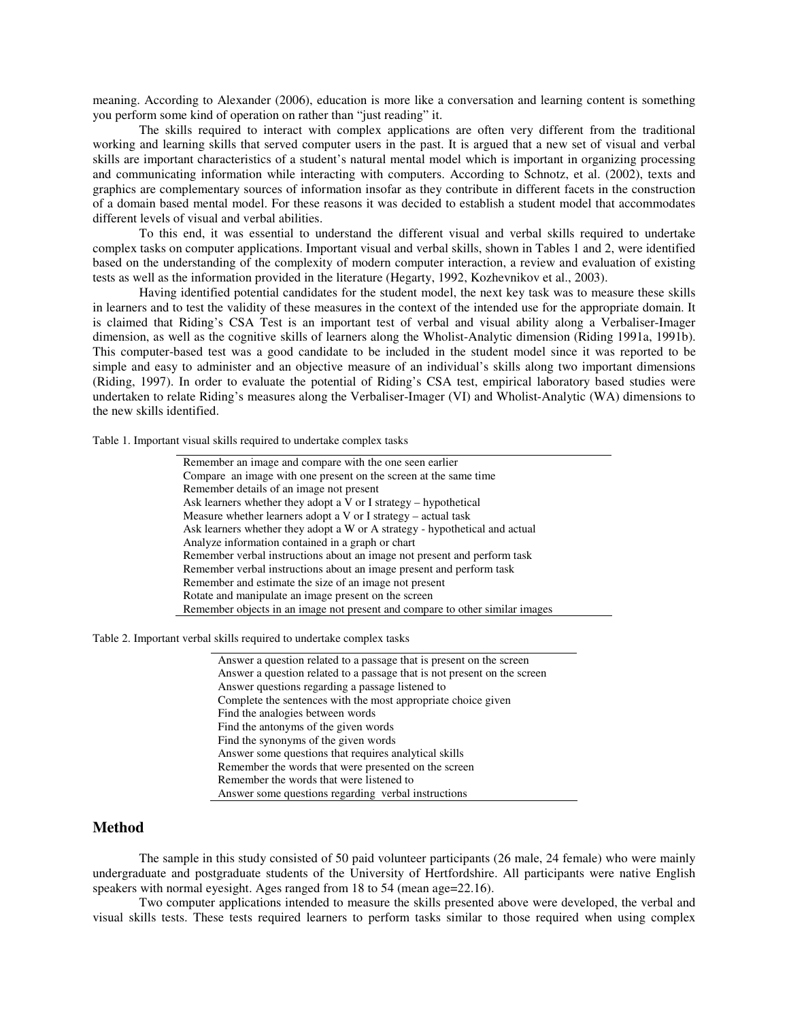meaning. According to Alexander (2006), education is more like a conversation and learning content is something you perform some kind of operation on rather than "just reading" it.

The skills required to interact with complex applications are often very different from the traditional working and learning skills that served computer users in the past. It is argued that a new set of visual and verbal skills are important characteristics of a student's natural mental model which is important in organizing processing and communicating information while interacting with computers. According to Schnotz, et al. (2002), texts and graphics are complementary sources of information insofar as they contribute in different facets in the construction of a domain based mental model. For these reasons it was decided to establish a student model that accommodates different levels of visual and verbal abilities.

To this end, it was essential to understand the different visual and verbal skills required to undertake complex tasks on computer applications. Important visual and verbal skills, shown in Tables 1 and 2, were identified based on the understanding of the complexity of modern computer interaction, a review and evaluation of existing tests as well as the information provided in the literature (Hegarty, 1992, Kozhevnikov et al., 2003).

Having identified potential candidates for the student model, the next key task was to measure these skills in learners and to test the validity of these measures in the context of the intended use for the appropriate domain. It is claimed that Riding's CSA Test is an important test of verbal and visual ability along a Verbaliser-Imager dimension, as well as the cognitive skills of learners along the Wholist-Analytic dimension (Riding 1991a, 1991b). This computer-based test was a good candidate to be included in the student model since it was reported to be simple and easy to administer and an objective measure of an individual's skills along two important dimensions (Riding, 1997). In order to evaluate the potential of Riding's CSA test, empirical laboratory based studies were undertaken to relate Riding's measures along the Verbaliser-Imager (VI) and Wholist-Analytic (WA) dimensions to the new skills identified.

Table 1. Important visual skills required to undertake complex tasks

| Remember an image and compare with the one seen earlier                      |
|------------------------------------------------------------------------------|
| Compare an image with one present on the screen at the same time             |
| Remember details of an image not present                                     |
| Ask learners whether they adopt a $V$ or I strategy – hypothetical           |
| Measure whether learners adopt a $V$ or I strategy – actual task             |
| Ask learners whether they adopt a W or A strategy - hypothetical and actual  |
| Analyze information contained in a graph or chart                            |
| Remember verbal instructions about an image not present and perform task     |
| Remember verbal instructions about an image present and perform task         |
| Remember and estimate the size of an image not present                       |
| Rotate and manipulate an image present on the screen                         |
| Remember objects in an image not present and compare to other similar images |

Table 2. Important verbal skills required to undertake complex tasks

| Answer a question related to a passage that is present on the screen     |
|--------------------------------------------------------------------------|
| Answer a question related to a passage that is not present on the screen |
| Answer questions regarding a passage listened to                         |
| Complete the sentences with the most appropriate choice given            |
| Find the analogies between words                                         |
| Find the antonyms of the given words                                     |
| Find the synonyms of the given words                                     |
| Answer some questions that requires analytical skills                    |
| Remember the words that were presented on the screen                     |
| Remember the words that were listened to                                 |
| Answer some questions regarding verbal instructions                      |

# **Method**

The sample in this study consisted of 50 paid volunteer participants (26 male, 24 female) who were mainly undergraduate and postgraduate students of the University of Hertfordshire. All participants were native English speakers with normal eyesight. Ages ranged from 18 to 54 (mean age=22.16).

Two computer applications intended to measure the skills presented above were developed, the verbal and visual skills tests. These tests required learners to perform tasks similar to those required when using complex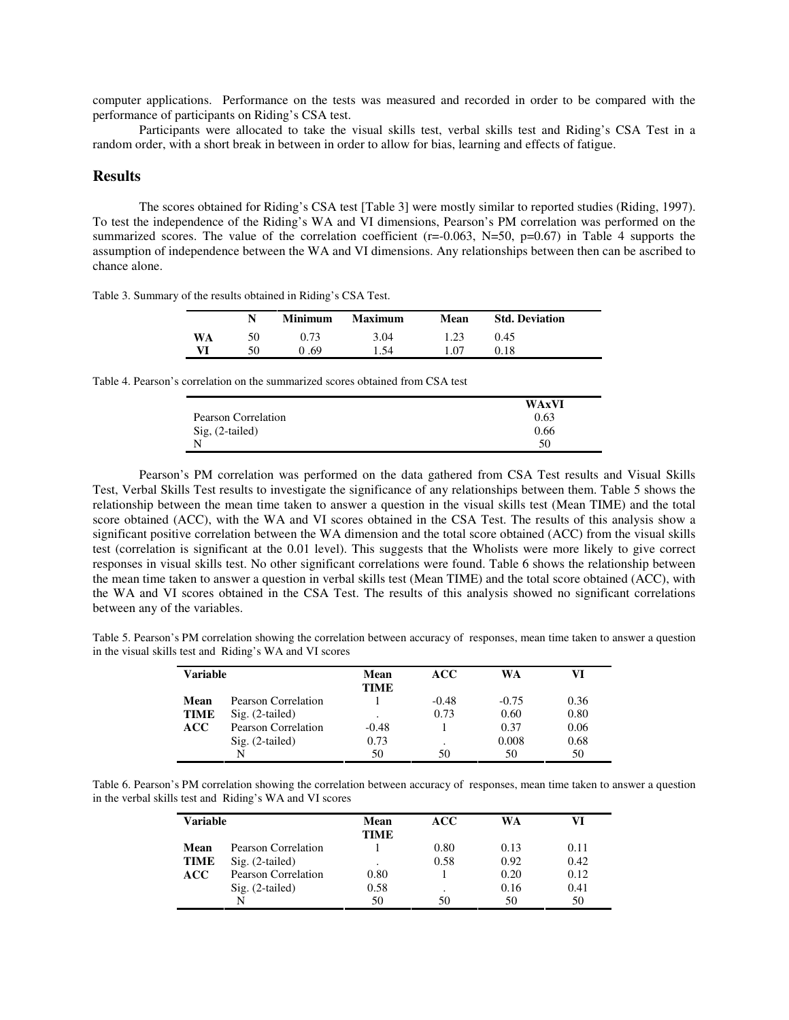computer applications. Performance on the tests was measured and recorded in order to be compared with the performance of participants on Riding's CSA test.

Participants were allocated to take the visual skills test, verbal skills test and Riding's CSA Test in a random order, with a short break in between in order to allow for bias, learning and effects of fatigue.

#### **Results**

The scores obtained for Riding's CSA test [Table 3] were mostly similar to reported studies (Riding, 1997). To test the independence of the Riding's WA and VI dimensions, Pearson's PM correlation was performed on the summarized scores. The value of the correlation coefficient ( $r=-0.063$ ,  $N=50$ ,  $p=0.67$ ) in Table 4 supports the assumption of independence between the WA and VI dimensions. Any relationships between then can be ascribed to chance alone.

Table 3. Summary of the results obtained in Riding's CSA Test.

|    | N  | <b>Minimum</b> | <b>Maximum</b> | Mean | <b>Std. Deviation</b> |
|----|----|----------------|----------------|------|-----------------------|
| WA | 50 | 0.73           | 3.04           | 1.23 | 0.45                  |
| VI | 50 | 0.69           | 1.54           |      | 0.18                  |

Table 4. Pearson's correlation on the summarized scores obtained from CSA test

|                     | <b>WAxVI</b> |
|---------------------|--------------|
| Pearson Correlation | 0.63         |
| Sig, (2-tailed)     | 0.66         |
| N                   | 50           |

Pearson's PM correlation was performed on the data gathered from CSA Test results and Visual Skills Test, Verbal Skills Test results to investigate the significance of any relationships between them. Table 5 shows the relationship between the mean time taken to answer a question in the visual skills test (Mean TIME) and the total score obtained (ACC), with the WA and VI scores obtained in the CSA Test. The results of this analysis show a significant positive correlation between the WA dimension and the total score obtained (ACC) from the visual skills test (correlation is significant at the 0.01 level). This suggests that the Wholists were more likely to give correct responses in visual skills test. No other significant correlations were found. Table 6 shows the relationship between the mean time taken to answer a question in verbal skills test (Mean TIME) and the total score obtained (ACC), with the WA and VI scores obtained in the CSA Test. The results of this analysis showed no significant correlations between any of the variables.

Table 5. Pearson's PM correlation showing the correlation between accuracy of responses, mean time taken to answer a question in the visual skills test and Riding's WA and VI scores

| Variable    |                     | Mean<br><b>TIME</b> | ACC     | WA      |      |
|-------------|---------------------|---------------------|---------|---------|------|
| Mean        | Pearson Correlation |                     | $-0.48$ | $-0.75$ | 0.36 |
| <b>TIME</b> | $Sig. (2-tailed)$   | ٠                   | 0.73    | 0.60    | 0.80 |
| <b>ACC</b>  | Pearson Correlation | $-0.48$             |         | 0.37    | 0.06 |
|             | $Sig. (2-tailed)$   | 0.73                |         | 0.008   | 0.68 |
|             | N                   | 50                  | 50      | 50      | 50   |

Table 6. Pearson's PM correlation showing the correlation between accuracy of responses, mean time taken to answer a question in the verbal skills test and Riding's WA and VI scores

| Variable    |                     | Mean<br><b>TIME</b> | ACC  | WA   | VI   |
|-------------|---------------------|---------------------|------|------|------|
| Mean        | Pearson Correlation |                     | 0.80 | 0.13 | 0.11 |
| <b>TIME</b> | $Sig. (2-tailed)$   | ٠                   | 0.58 | 0.92 | 0.42 |
| ACC         | Pearson Correlation | 0.80                |      | 0.20 | 0.12 |
|             | $Sig. (2-tailed)$   | 0.58                |      | 0.16 | 0.41 |
|             | N                   | 50                  | 50   | 50   | 50   |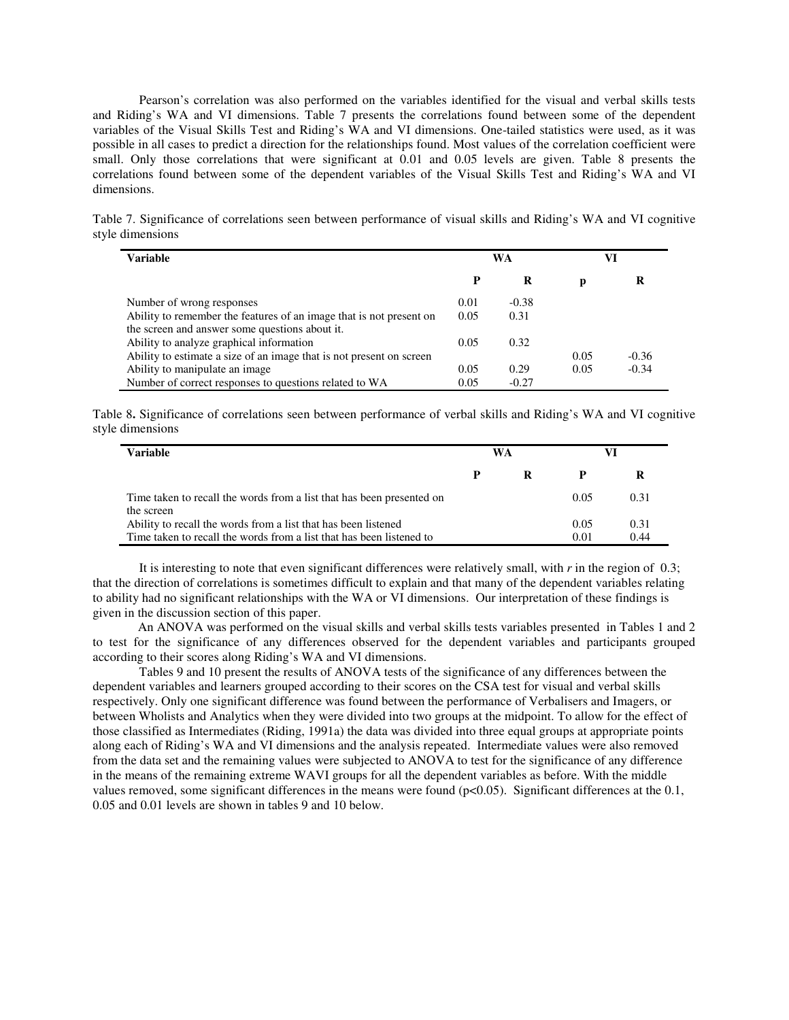Pearson's correlation was also performed on the variables identified for the visual and verbal skills tests and Riding's WA and VI dimensions. Table 7 presents the correlations found between some of the dependent variables of the Visual Skills Test and Riding's WA and VI dimensions. One-tailed statistics were used, as it was possible in all cases to predict a direction for the relationships found. Most values of the correlation coefficient were small. Only those correlations that were significant at 0.01 and 0.05 levels are given. Table 8 presents the correlations found between some of the dependent variables of the Visual Skills Test and Riding's WA and VI dimensions.

Table 7. Significance of correlations seen between performance of visual skills and Riding's WA and VI cognitive style dimensions

| Variable                                                             | WA   |         |      | VI      |
|----------------------------------------------------------------------|------|---------|------|---------|
|                                                                      | P    | R       | р    |         |
| Number of wrong responses                                            | 0.01 | $-0.38$ |      |         |
| Ability to remember the features of an image that is not present on  | 0.05 | 0.31    |      |         |
| the screen and answer some questions about it.                       |      |         |      |         |
| Ability to analyze graphical information                             | 0.05 | 0.32    |      |         |
| Ability to estimate a size of an image that is not present on screen |      |         | 0.05 | $-0.36$ |
| Ability to manipulate an image                                       | 0.05 | 0.29    | 0.05 | $-0.34$ |
| Number of correct responses to questions related to WA               | 0.05 | $-0.27$ |      |         |

Table 8**.** Significance of correlations seen between performance of verbal skills and Riding's WA and VI cognitive style dimensions

| <b>Variable</b>                                                                                                                        |   | WA |              |              |
|----------------------------------------------------------------------------------------------------------------------------------------|---|----|--------------|--------------|
|                                                                                                                                        | P | R  | P            |              |
| Time taken to recall the words from a list that has been presented on<br>the screen                                                    |   |    | 0.05         | 0.31         |
| Ability to recall the words from a list that has been listened<br>Time taken to recall the words from a list that has been listened to |   |    | 0.05<br>0.01 | 0.31<br>0.44 |

It is interesting to note that even significant differences were relatively small, with *r* in the region of 0.3; that the direction of correlations is sometimes difficult to explain and that many of the dependent variables relating to ability had no significant relationships with the WA or VI dimensions. Our interpretation of these findings is given in the discussion section of this paper.

An ANOVA was performed on the visual skills and verbal skills tests variables presented in Tables 1 and 2 to test for the significance of any differences observed for the dependent variables and participants grouped according to their scores along Riding's WA and VI dimensions.

Tables 9 and 10 present the results of ANOVA tests of the significance of any differences between the dependent variables and learners grouped according to their scores on the CSA test for visual and verbal skills respectively. Only one significant difference was found between the performance of Verbalisers and Imagers, or between Wholists and Analytics when they were divided into two groups at the midpoint. To allow for the effect of those classified as Intermediates (Riding, 1991a) the data was divided into three equal groups at appropriate points along each of Riding's WA and VI dimensions and the analysis repeated. Intermediate values were also removed from the data set and the remaining values were subjected to ANOVA to test for the significance of any difference in the means of the remaining extreme WAVI groups for all the dependent variables as before. With the middle values removed, some significant differences in the means were found  $(p<0.05)$ . Significant differences at the 0.1, 0.05 and 0.01 levels are shown in tables 9 and 10 below.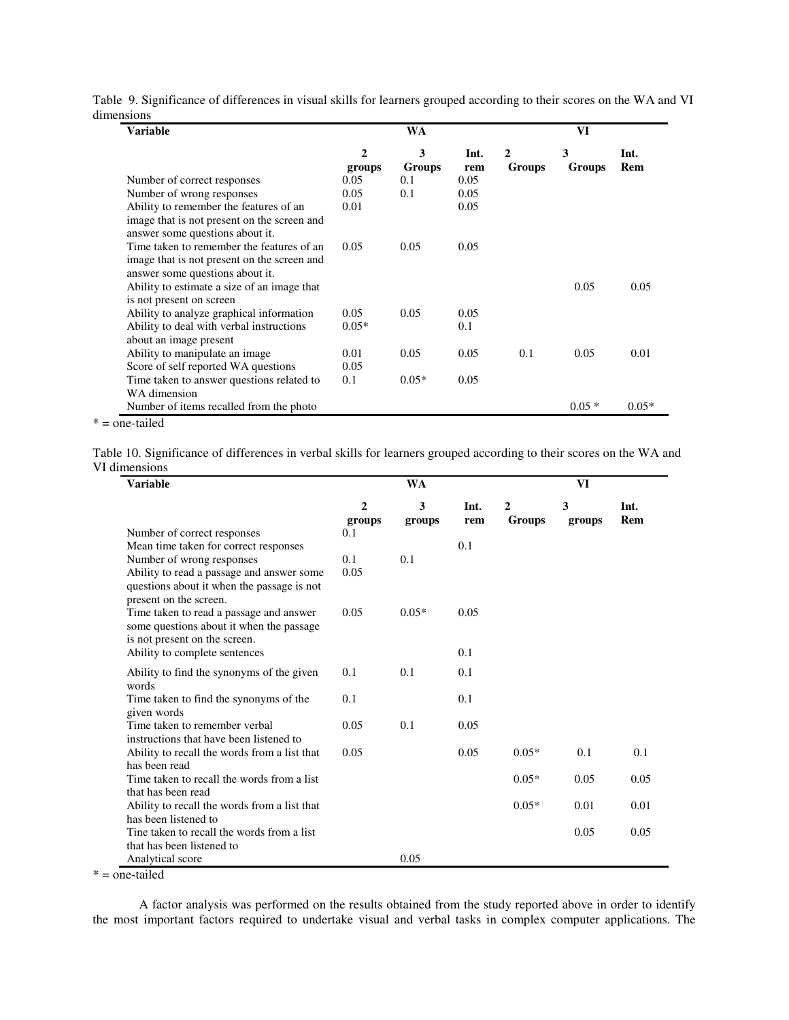Table 9. Significance of differences in visual skills for learners grouped according to their scores on the WA and VI dimensions  $\overline{\phantom{a}}$ 

| Variable                                                                                                                    |                        | WA          |             | VI          |             |             |  |
|-----------------------------------------------------------------------------------------------------------------------------|------------------------|-------------|-------------|-------------|-------------|-------------|--|
|                                                                                                                             | $\mathbf{2}$<br>groups | 3<br>Groups | Int.<br>rem | 2<br>Groups | 3<br>Groups | Int.<br>Rem |  |
| Number of correct responses                                                                                                 | 0.05                   | 0.1         | 0.05        |             |             |             |  |
| Number of wrong responses                                                                                                   | 0.05                   | 0.1         | 0.05        |             |             |             |  |
| Ability to remember the features of an<br>image that is not present on the screen and<br>answer some questions about it.    | 0.01                   |             | 0.05        |             |             |             |  |
| Time taken to remember the features of an<br>image that is not present on the screen and<br>answer some questions about it. | 0.05                   | 0.05        | 0.05        |             |             |             |  |
| Ability to estimate a size of an image that<br>is not present on screen                                                     |                        |             |             |             | 0.05        | 0.05        |  |
| Ability to analyze graphical information                                                                                    | 0.05                   | 0.05        | 0.05        |             |             |             |  |
| Ability to deal with verbal instructions                                                                                    | $0.05*$                |             | 0.1         |             |             |             |  |
| about an image present                                                                                                      |                        |             |             |             |             |             |  |
| Ability to manipulate an image                                                                                              | 0.01                   | 0.05        | 0.05        | 0.1         | 0.05        | 0.01        |  |
| Score of self reported WA questions                                                                                         | 0.05                   |             |             |             |             |             |  |
| Time taken to answer questions related to<br>WA dimension                                                                   | 0.1                    | $0.05*$     | 0.05        |             |             |             |  |
| Number of items recalled from the photo                                                                                     |                        |             |             |             | $0.05*$     | $0.05*$     |  |

\* = one-tailed

Table 10. Significance of differences in verbal skills for learners grouped according to their scores on the WA and VI dimensions ÷,

| <b>Variable</b>                                                                                                      |                          | <b>WA</b>   |             | VI                     |             |             |  |
|----------------------------------------------------------------------------------------------------------------------|--------------------------|-------------|-------------|------------------------|-------------|-------------|--|
|                                                                                                                      | $\overline{2}$<br>groups | 3<br>groups | Int.<br>rem | $\mathbf{2}$<br>Groups | 3<br>groups | Int.<br>Rem |  |
| Number of correct responses                                                                                          | 0.1                      |             |             |                        |             |             |  |
| Mean time taken for correct responses                                                                                |                          |             | 0.1         |                        |             |             |  |
| Number of wrong responses                                                                                            | 0.1                      | 0.1         |             |                        |             |             |  |
| Ability to read a passage and answer some<br>questions about it when the passage is not<br>present on the screen.    | 0.05                     |             |             |                        |             |             |  |
| Time taken to read a passage and answer<br>some questions about it when the passage<br>is not present on the screen. | 0.05                     | $0.05*$     | 0.05        |                        |             |             |  |
| Ability to complete sentences                                                                                        |                          |             | 0.1         |                        |             |             |  |
| Ability to find the synonyms of the given<br>words                                                                   | 0.1                      | 0.1         | 0.1         |                        |             |             |  |
| Time taken to find the synonyms of the<br>given words                                                                | 0.1                      |             | 0.1         |                        |             |             |  |
| Time taken to remember verbal<br>instructions that have been listened to                                             | 0.05                     | 0.1         | 0.05        |                        |             |             |  |
| Ability to recall the words from a list that                                                                         | 0.05                     |             | 0.05        | $0.05*$                | 0.1         | 0.1         |  |
| has been read<br>Time taken to recall the words from a list                                                          |                          |             |             | $0.05*$                | 0.05        | 0.05        |  |
| that has been read                                                                                                   |                          |             |             |                        |             |             |  |
| Ability to recall the words from a list that                                                                         |                          |             |             | $0.05*$                | 0.01        | 0.01        |  |
| has been listened to                                                                                                 |                          |             |             |                        |             |             |  |
| Tine taken to recall the words from a list                                                                           |                          |             |             |                        | 0.05        | 0.05        |  |
| that has been listened to                                                                                            |                          |             |             |                        |             |             |  |
| Analytical score                                                                                                     |                          | 0.05        |             |                        |             |             |  |

 $* =$  one-tailed

A factor analysis was performed on the results obtained from the study reported above in order to identify the most important factors required to undertake visual and verbal tasks in complex computer applications. The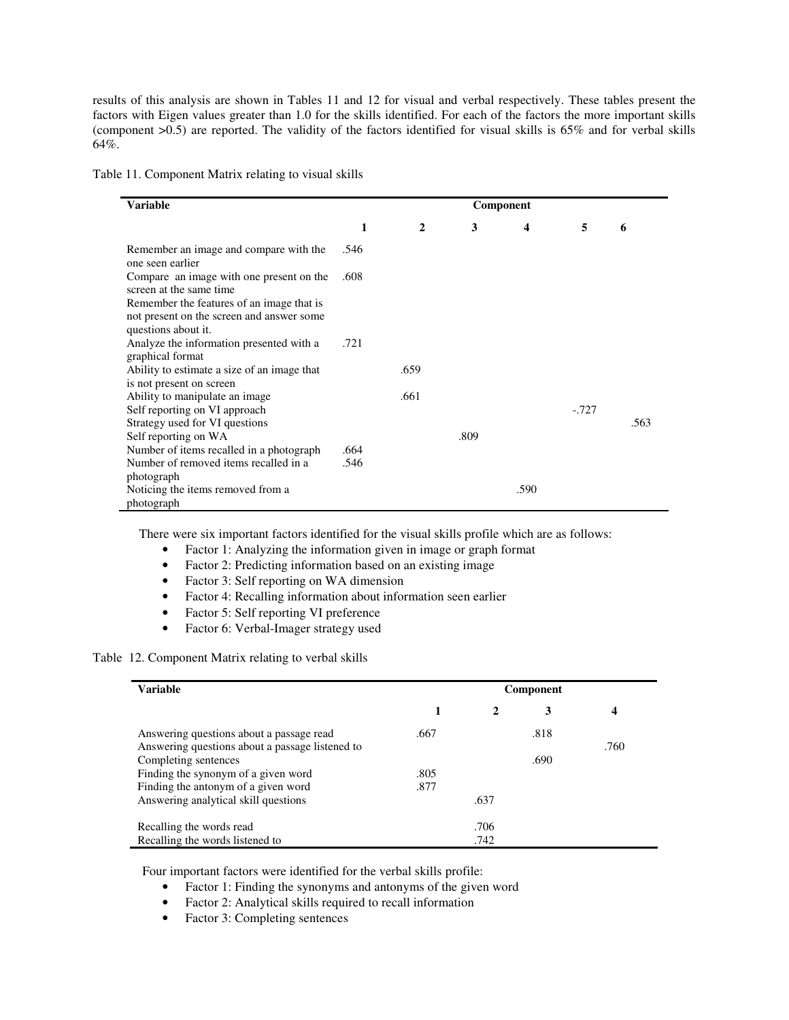results of this analysis are shown in Tables 11 and 12 for visual and verbal respectively. These tables present the factors with Eigen values greater than 1.0 for the skills identified. For each of the factors the more important skills (component >0.5) are reported. The validity of the factors identified for visual skills is 65% and for verbal skills 64%.

Table 11. Component Matrix relating to visual skills

| <b>Variable</b>                                                                        |              |              |      | Component        |         |      |
|----------------------------------------------------------------------------------------|--------------|--------------|------|------------------|---------|------|
|                                                                                        | 1            | $\mathbf{2}$ | 3    | $\boldsymbol{4}$ | 5       | 6    |
| Remember an image and compare with the<br>one seen earlier                             | .546         |              |      |                  |         |      |
| Compare an image with one present on the<br>screen at the same time                    | .608         |              |      |                  |         |      |
| Remember the features of an image that is<br>not present on the screen and answer some |              |              |      |                  |         |      |
| questions about it.<br>Analyze the information presented with a<br>graphical format    | .721         |              |      |                  |         |      |
| Ability to estimate a size of an image that<br>is not present on screen                |              | .659         |      |                  |         |      |
| Ability to manipulate an image.<br>Self reporting on VI approach                       |              | .661         |      |                  | $-.727$ |      |
| Strategy used for VI questions<br>Self reporting on WA                                 |              |              | .809 |                  |         | .563 |
| Number of items recalled in a photograph<br>Number of removed items recalled in a      | .664<br>.546 |              |      |                  |         |      |
| photograph<br>Noticing the items removed from a<br>photograph                          |              |              |      | .590             |         |      |

There were six important factors identified for the visual skills profile which are as follows:

- Factor 1: Analyzing the information given in image or graph format
- Factor 2: Predicting information based on an existing image
- Factor 3: Self reporting on WA dimension
- Factor 4: Recalling information about information seen earlier
- Factor 5: Self reporting VI preference
- Factor 6: Verbal-Imager strategy used

## Table 12. Component Matrix relating to verbal skills

| <b>Variable</b>                                                         | Component |      |      |                |  |  |
|-------------------------------------------------------------------------|-----------|------|------|----------------|--|--|
|                                                                         |           |      | 3    | $\overline{4}$ |  |  |
| Answering questions about a passage read                                | .667      |      | .818 |                |  |  |
| Answering questions about a passage listened to<br>Completing sentences |           |      | .690 | .760           |  |  |
| Finding the synonym of a given word                                     | .805      |      |      |                |  |  |
| Finding the antonym of a given word                                     | .877      |      |      |                |  |  |
| Answering analytical skill questions                                    |           | .637 |      |                |  |  |
| Recalling the words read                                                |           | .706 |      |                |  |  |
| Recalling the words listened to                                         |           | .742 |      |                |  |  |

Four important factors were identified for the verbal skills profile:

- Factor 1: Finding the synonyms and antonyms of the given word
- Factor 2: Analytical skills required to recall information
- Factor 3: Completing sentences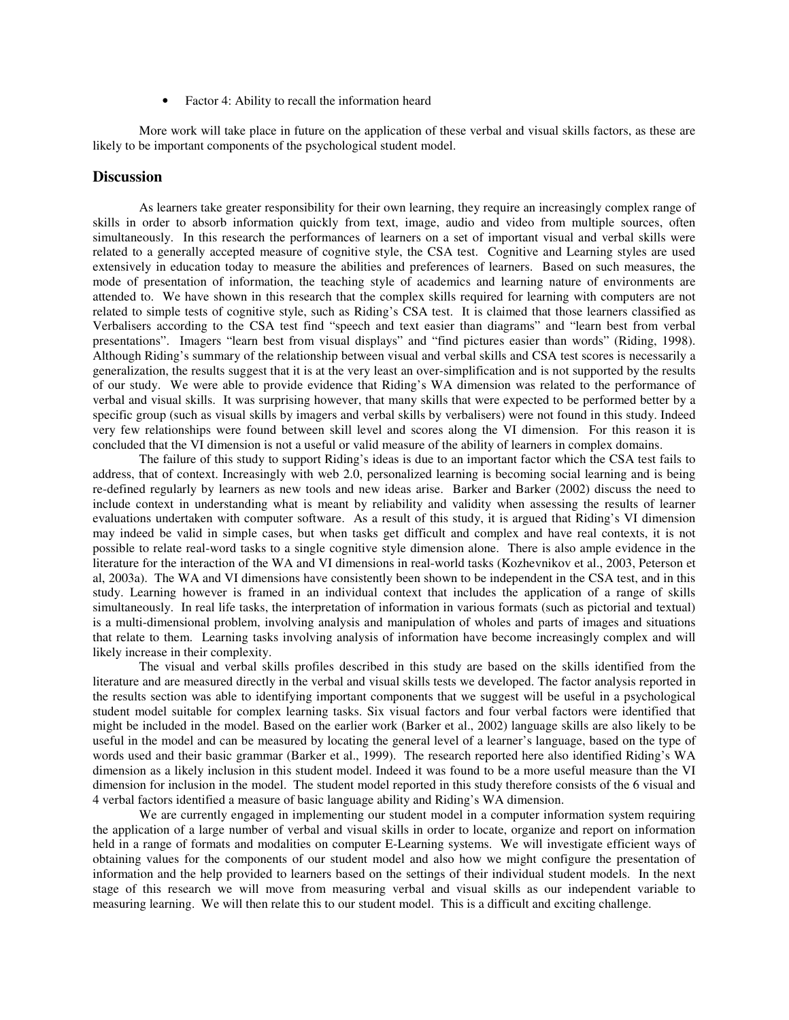• Factor 4: Ability to recall the information heard

More work will take place in future on the application of these verbal and visual skills factors, as these are likely to be important components of the psychological student model.

# **Discussion**

As learners take greater responsibility for their own learning, they require an increasingly complex range of skills in order to absorb information quickly from text, image, audio and video from multiple sources, often simultaneously. In this research the performances of learners on a set of important visual and verbal skills were related to a generally accepted measure of cognitive style, the CSA test. Cognitive and Learning styles are used extensively in education today to measure the abilities and preferences of learners. Based on such measures, the mode of presentation of information, the teaching style of academics and learning nature of environments are attended to. We have shown in this research that the complex skills required for learning with computers are not related to simple tests of cognitive style, such as Riding's CSA test. It is claimed that those learners classified as Verbalisers according to the CSA test find "speech and text easier than diagrams" and "learn best from verbal presentations". Imagers "learn best from visual displays" and "find pictures easier than words" (Riding, 1998). Although Riding's summary of the relationship between visual and verbal skills and CSA test scores is necessarily a generalization, the results suggest that it is at the very least an over-simplification and is not supported by the results of our study. We were able to provide evidence that Riding's WA dimension was related to the performance of verbal and visual skills. It was surprising however, that many skills that were expected to be performed better by a specific group (such as visual skills by imagers and verbal skills by verbalisers) were not found in this study. Indeed very few relationships were found between skill level and scores along the VI dimension. For this reason it is concluded that the VI dimension is not a useful or valid measure of the ability of learners in complex domains.

The failure of this study to support Riding's ideas is due to an important factor which the CSA test fails to address, that of context. Increasingly with web 2.0, personalized learning is becoming social learning and is being re-defined regularly by learners as new tools and new ideas arise. Barker and Barker (2002) discuss the need to include context in understanding what is meant by reliability and validity when assessing the results of learner evaluations undertaken with computer software. As a result of this study, it is argued that Riding's VI dimension may indeed be valid in simple cases, but when tasks get difficult and complex and have real contexts, it is not possible to relate real-word tasks to a single cognitive style dimension alone. There is also ample evidence in the literature for the interaction of the WA and VI dimensions in real-world tasks (Kozhevnikov et al., 2003, Peterson et al, 2003a). The WA and VI dimensions have consistently been shown to be independent in the CSA test, and in this study. Learning however is framed in an individual context that includes the application of a range of skills simultaneously. In real life tasks, the interpretation of information in various formats (such as pictorial and textual) is a multi-dimensional problem, involving analysis and manipulation of wholes and parts of images and situations that relate to them. Learning tasks involving analysis of information have become increasingly complex and will likely increase in their complexity.

The visual and verbal skills profiles described in this study are based on the skills identified from the literature and are measured directly in the verbal and visual skills tests we developed. The factor analysis reported in the results section was able to identifying important components that we suggest will be useful in a psychological student model suitable for complex learning tasks. Six visual factors and four verbal factors were identified that might be included in the model. Based on the earlier work (Barker et al., 2002) language skills are also likely to be useful in the model and can be measured by locating the general level of a learner's language, based on the type of words used and their basic grammar (Barker et al., 1999). The research reported here also identified Riding's WA dimension as a likely inclusion in this student model. Indeed it was found to be a more useful measure than the VI dimension for inclusion in the model. The student model reported in this study therefore consists of the 6 visual and 4 verbal factors identified a measure of basic language ability and Riding's WA dimension.

We are currently engaged in implementing our student model in a computer information system requiring the application of a large number of verbal and visual skills in order to locate, organize and report on information held in a range of formats and modalities on computer E-Learning systems. We will investigate efficient ways of obtaining values for the components of our student model and also how we might configure the presentation of information and the help provided to learners based on the settings of their individual student models. In the next stage of this research we will move from measuring verbal and visual skills as our independent variable to measuring learning. We will then relate this to our student model. This is a difficult and exciting challenge.